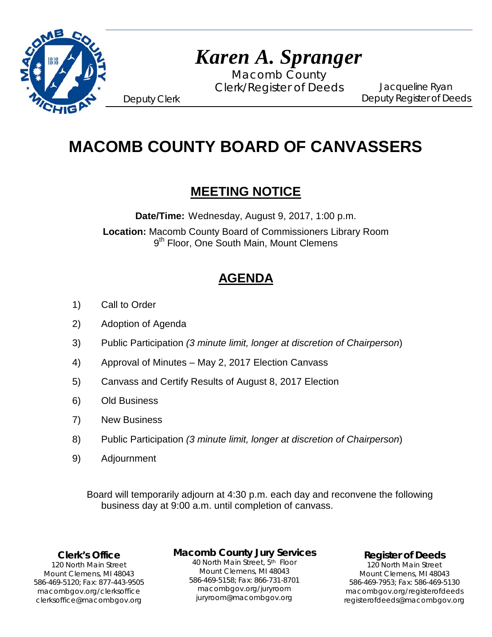

# *Karen A. Spranger*

Macomb County Clerk/Register of Deeds

Jacqueline Ryan Deputy Register of Deeds

Deputy Clerk

## **MACOMB COUNTY BOARD OF CANVASSERS**

## **MEETING NOTICE**

**Date/Time:** Wednesday, August 9, 2017, 1:00 p.m.

**Location:** Macomb County Board of Commissioners Library Room 9<sup>th</sup> Floor, One South Main, Mount Clemens

## **AGENDA**

- 1) Call to Order
- 2) Adoption of Agenda
- 3) Public Participation *(3 minute limit, longer at discretion of Chairperson*)
- 4) Approval of Minutes May 2, 2017 Election Canvass
- 5) Canvass and Certify Results of August 8, 2017 Election
- 6) Old Business
- 7) New Business
- 8) Public Participation *(3 minute limit, longer at discretion of Chairperson*)
- 9) Adjournment

Board will temporarily adjourn at 4:30 p.m. each day and reconvene the following business day at 9:00 a.m. until completion of canvass.

#### **Clerk's Office**

clerksoffice@macombgov.org 120 North Main Street Mount Clemens, MI 48043 586-469-5120; Fax: 877-443-9505 macombgov.org/clerksoffice

#### **Macomb County Jury Services**

40 North Main Street, 5th Floor Mount Clemens, MI 48043 586-469-5158; Fax: 866-731-8701 macombgov.org/juryroom juryroom@macombgov.org

**Register of Deeds**

120 North Main Street Mount Clemens, MI 48043 586-469-7953; Fax: 586-469-5130 macombgov.org/registerofdeeds registerofdeeds@macombgov.org